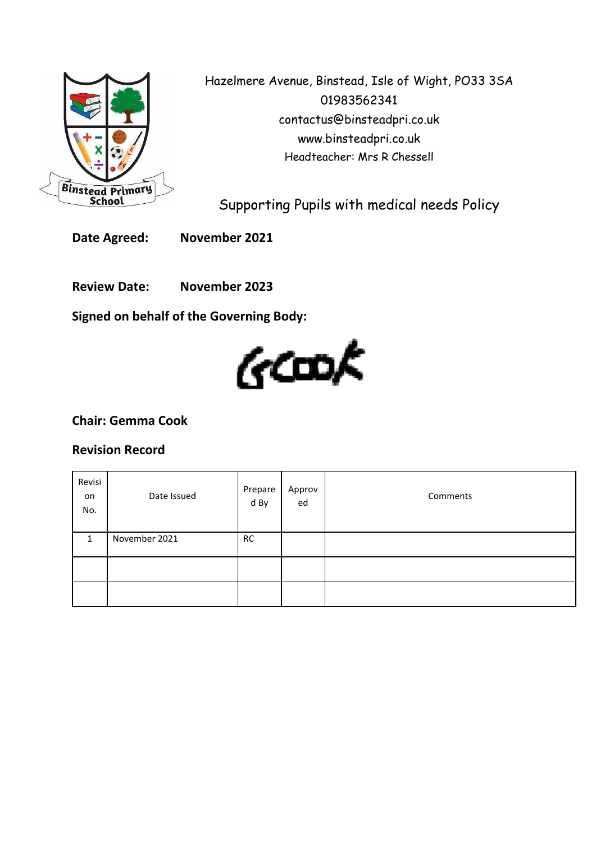

Hazelmere Avenue, Binstead, Isle of Wight, PO33 3SA 01983562341 contactus@binsteadpri.co.uk www.binsteadpri.co.uk Headteacher: Mrs R Chessell

Supporting Pupils with medical needs Policy

**Date Agreed: November 2021**

**Review Date: November 2023**

**Signed on behalf of the Governing Body:**



# **Chair: Gemma Cook**

## **Revision Record**

| Revisi<br>on<br>No. | Date Issued   | Prepare<br>d By | Approv<br>ed | Comments |
|---------------------|---------------|-----------------|--------------|----------|
| 1                   | November 2021 | <b>RC</b>       |              |          |
|                     |               |                 |              |          |
|                     |               |                 |              |          |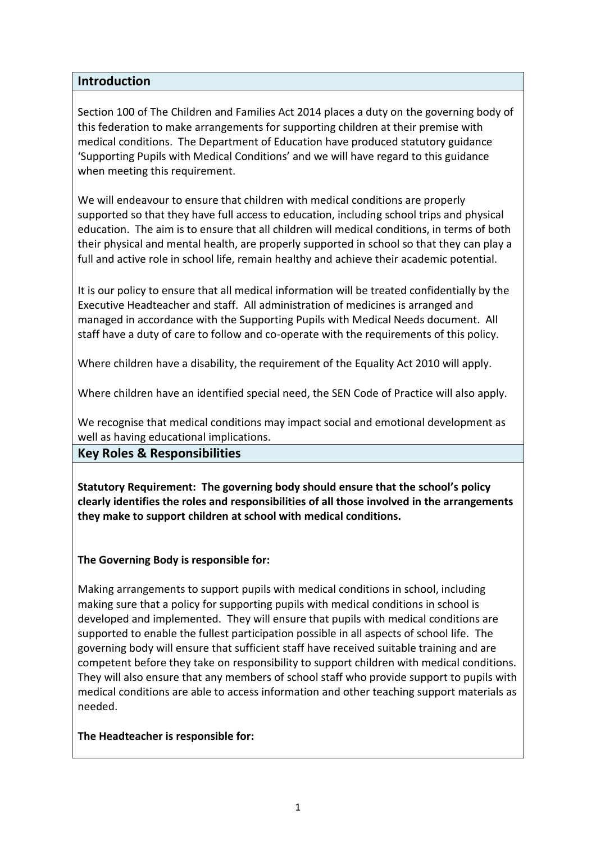## **Introduction**

Section 100 of The Children and Families Act 2014 places a duty on the governing body of this federation to make arrangements for supporting children at their premise with medical conditions. The Department of Education have produced statutory guidance 'Supporting Pupils with Medical Conditions' and we will have regard to this guidance when meeting this requirement.

We will endeavour to ensure that children with medical conditions are properly supported so that they have full access to education, including school trips and physical education. The aim is to ensure that all children will medical conditions, in terms of both their physical and mental health, are properly supported in school so that they can play a full and active role in school life, remain healthy and achieve their academic potential.

It is our policy to ensure that all medical information will be treated confidentially by the Executive Headteacher and staff. All administration of medicines is arranged and managed in accordance with the Supporting Pupils with Medical Needs document. All staff have a duty of care to follow and co-operate with the requirements of this policy.

Where children have a disability, the requirement of the Equality Act 2010 will apply.

Where children have an identified special need, the SEN Code of Practice will also apply.

We recognise that medical conditions may impact social and emotional development as well as having educational implications.

## **Key Roles & Responsibilities**

**Statutory Requirement: The governing body should ensure that the school's policy clearly identifies the roles and responsibilities of all those involved in the arrangements they make to support children at school with medical conditions.**

## **The Governing Body is responsible for:**

Making arrangements to support pupils with medical conditions in school, including making sure that a policy for supporting pupils with medical conditions in school is developed and implemented. They will ensure that pupils with medical conditions are supported to enable the fullest participation possible in all aspects of school life. The governing body will ensure that sufficient staff have received suitable training and are competent before they take on responsibility to support children with medical conditions. They will also ensure that any members of school staff who provide support to pupils with medical conditions are able to access information and other teaching support materials as needed.

#### **The Headteacher is responsible for:**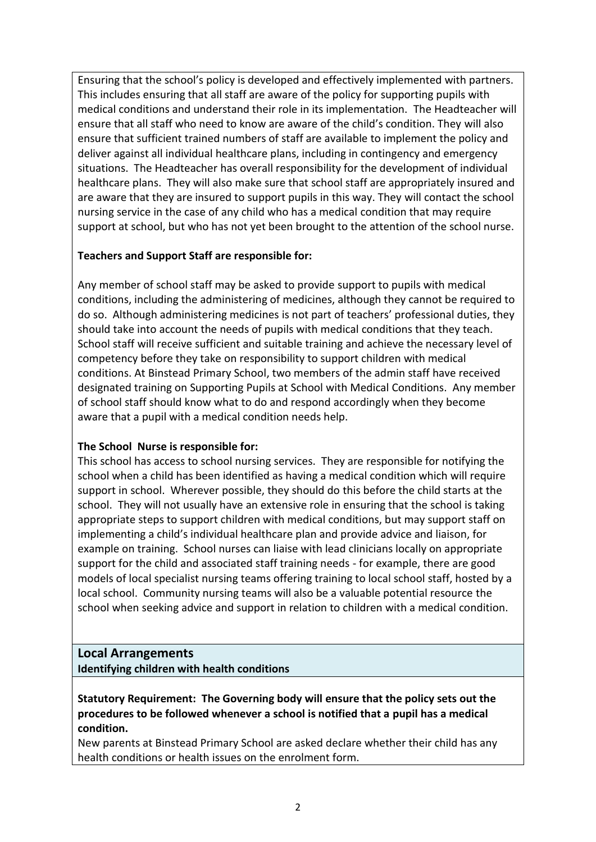Ensuring that the school's policy is developed and effectively implemented with partners. This includes ensuring that all staff are aware of the policy for supporting pupils with medical conditions and understand their role in its implementation. The Headteacher will ensure that all staff who need to know are aware of the child's condition. They will also ensure that sufficient trained numbers of staff are available to implement the policy and deliver against all individual healthcare plans, including in contingency and emergency situations. The Headteacher has overall responsibility for the development of individual healthcare plans. They will also make sure that school staff are appropriately insured and are aware that they are insured to support pupils in this way. They will contact the school nursing service in the case of any child who has a medical condition that may require support at school, but who has not yet been brought to the attention of the school nurse.

## **Teachers and Support Staff are responsible for:**

Any member of school staff may be asked to provide support to pupils with medical conditions, including the administering of medicines, although they cannot be required to do so. Although administering medicines is not part of teachers' professional duties, they should take into account the needs of pupils with medical conditions that they teach. School staff will receive sufficient and suitable training and achieve the necessary level of competency before they take on responsibility to support children with medical conditions. At Binstead Primary School, two members of the admin staff have received designated training on Supporting Pupils at School with Medical Conditions. Any member of school staff should know what to do and respond accordingly when they become aware that a pupil with a medical condition needs help.

## **The School Nurse is responsible for:**

This school has access to school nursing services. They are responsible for notifying the school when a child has been identified as having a medical condition which will require support in school. Wherever possible, they should do this before the child starts at the school. They will not usually have an extensive role in ensuring that the school is taking appropriate steps to support children with medical conditions, but may support staff on implementing a child's individual healthcare plan and provide advice and liaison, for example on training. School nurses can liaise with lead clinicians locally on appropriate support for the child and associated staff training needs - for example, there are good models of local specialist nursing teams offering training to local school staff, hosted by a local school. Community nursing teams will also be a valuable potential resource the school when seeking advice and support in relation to children with a medical condition.

## **Local Arrangements Identifying children with health conditions**

**Statutory Requirement: The Governing body will ensure that the policy sets out the procedures to be followed whenever a school is notified that a pupil has a medical condition.**

New parents at Binstead Primary School are asked declare whether their child has any health conditions or health issues on the enrolment form.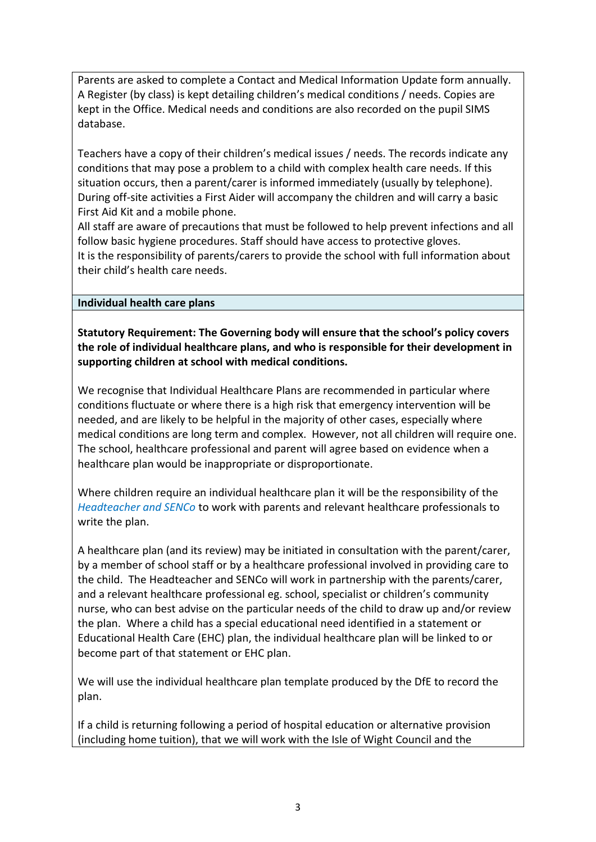Parents are asked to complete a Contact and Medical Information Update form annually. A Register (by class) is kept detailing children's medical conditions / needs. Copies are kept in the Office. Medical needs and conditions are also recorded on the pupil SIMS database.

Teachers have a copy of their children's medical issues / needs. The records indicate any conditions that may pose a problem to a child with complex health care needs. If this situation occurs, then a parent/carer is informed immediately (usually by telephone). During off-site activities a First Aider will accompany the children and will carry a basic First Aid Kit and a mobile phone.

All staff are aware of precautions that must be followed to help prevent infections and all follow basic hygiene procedures. Staff should have access to protective gloves. It is the responsibility of parents/carers to provide the school with full information about their child's health care needs.

## **Individual health care plans**

**Statutory Requirement: The Governing body will ensure that the school's policy covers the role of individual healthcare plans, and who is responsible for their development in supporting children at school with medical conditions.**

We recognise that Individual Healthcare Plans are recommended in particular where conditions fluctuate or where there is a high risk that emergency intervention will be needed, and are likely to be helpful in the majority of other cases, especially where medical conditions are long term and complex. However, not all children will require one. The school, healthcare professional and parent will agree based on evidence when a healthcare plan would be inappropriate or disproportionate.

Where children require an individual healthcare plan it will be the responsibility of the *Headteacher and SENCo* to work with parents and relevant healthcare professionals to write the plan.

A healthcare plan (and its review) may be initiated in consultation with the parent/carer, by a member of school staff or by a healthcare professional involved in providing care to the child. The Headteacher and SENCo will work in partnership with the parents/carer, and a relevant healthcare professional eg. school, specialist or children's community nurse, who can best advise on the particular needs of the child to draw up and/or review the plan. Where a child has a special educational need identified in a statement or Educational Health Care (EHC) plan, the individual healthcare plan will be linked to or become part of that statement or EHC plan.

We will use the individual healthcare plan template produced by the DfE to record the plan.

If a child is returning following a period of hospital education or alternative provision (including home tuition), that we will work with the Isle of Wight Council and the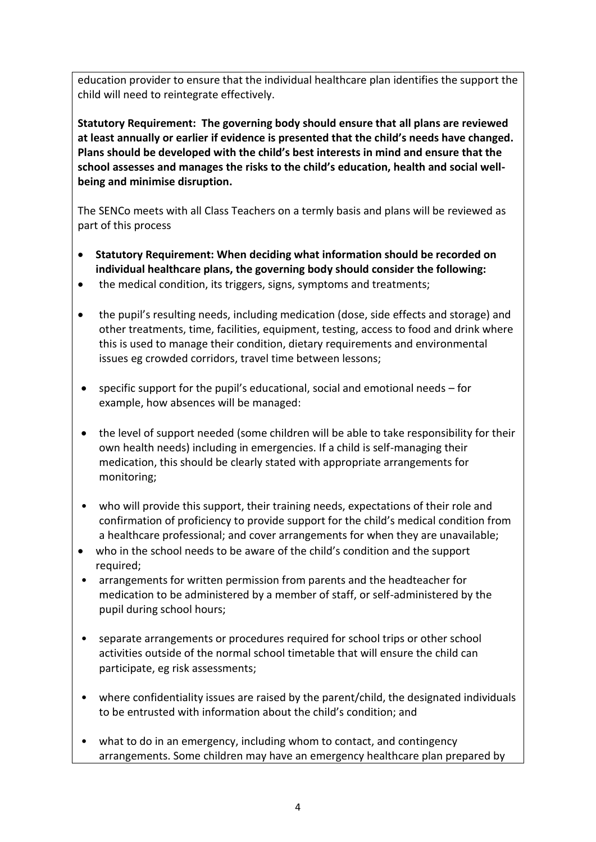education provider to ensure that the individual healthcare plan identifies the support the child will need to reintegrate effectively.

**Statutory Requirement: The governing body should ensure that all plans are reviewed at least annually or earlier if evidence is presented that the child's needs have changed. Plans should be developed with the child's best interests in mind and ensure that the school assesses and manages the risks to the child's education, health and social wellbeing and minimise disruption.**

The SENCo meets with all Class Teachers on a termly basis and plans will be reviewed as part of this process

- **Statutory Requirement: When deciding what information should be recorded on individual healthcare plans, the governing body should consider the following:**
- the medical condition, its triggers, signs, symptoms and treatments;
- the pupil's resulting needs, including medication (dose, side effects and storage) and other treatments, time, facilities, equipment, testing, access to food and drink where this is used to manage their condition, dietary requirements and environmental issues eg crowded corridors, travel time between lessons;
- specific support for the pupil's educational, social and emotional needs for example, how absences will be managed:
- the level of support needed (some children will be able to take responsibility for their own health needs) including in emergencies. If a child is self-managing their medication, this should be clearly stated with appropriate arrangements for monitoring;
- who will provide this support, their training needs, expectations of their role and confirmation of proficiency to provide support for the child's medical condition from a healthcare professional; and cover arrangements for when they are unavailable;
- who in the school needs to be aware of the child's condition and the support required;
- arrangements for written permission from parents and the headteacher for medication to be administered by a member of staff, or self-administered by the pupil during school hours;
- separate arrangements or procedures required for school trips or other school activities outside of the normal school timetable that will ensure the child can participate, eg risk assessments;
- where confidentiality issues are raised by the parent/child, the designated individuals to be entrusted with information about the child's condition; and
- what to do in an emergency, including whom to contact, and contingency arrangements. Some children may have an emergency healthcare plan prepared by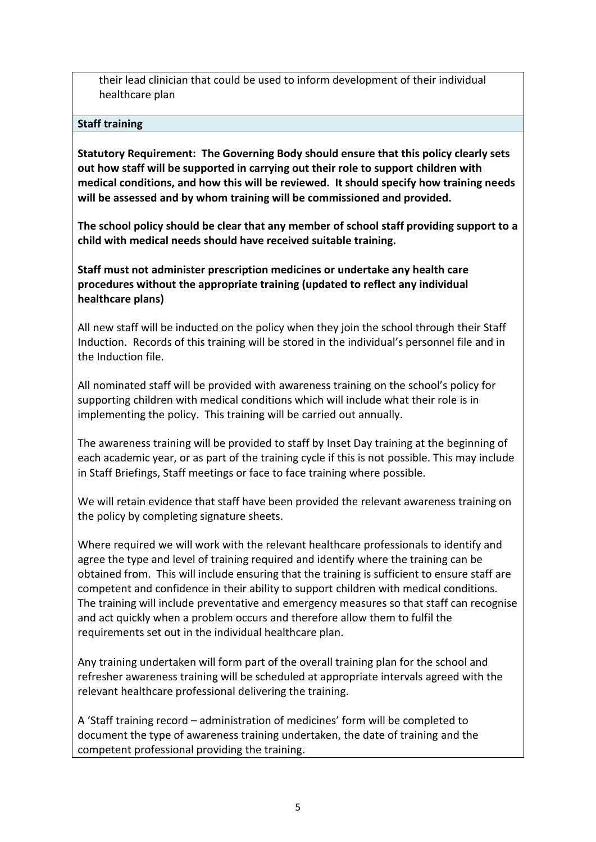their lead clinician that could be used to inform development of their individual healthcare plan

### **Staff training**

**Statutory Requirement: The Governing Body should ensure that this policy clearly sets out how staff will be supported in carrying out their role to support children with medical conditions, and how this will be reviewed. It should specify how training needs will be assessed and by whom training will be commissioned and provided.** 

**The school policy should be clear that any member of school staff providing support to a child with medical needs should have received suitable training.** 

**Staff must not administer prescription medicines or undertake any health care procedures without the appropriate training (updated to reflect any individual healthcare plans)**

All new staff will be inducted on the policy when they join the school through their Staff Induction. Records of this training will be stored in the individual's personnel file and in the Induction file.

All nominated staff will be provided with awareness training on the school's policy for supporting children with medical conditions which will include what their role is in implementing the policy. This training will be carried out annually.

The awareness training will be provided to staff by Inset Day training at the beginning of each academic year, or as part of the training cycle if this is not possible. This may include in Staff Briefings, Staff meetings or face to face training where possible.

We will retain evidence that staff have been provided the relevant awareness training on the policy by completing signature sheets.

Where required we will work with the relevant healthcare professionals to identify and agree the type and level of training required and identify where the training can be obtained from. This will include ensuring that the training is sufficient to ensure staff are competent and confidence in their ability to support children with medical conditions. The training will include preventative and emergency measures so that staff can recognise and act quickly when a problem occurs and therefore allow them to fulfil the requirements set out in the individual healthcare plan.

Any training undertaken will form part of the overall training plan for the school and refresher awareness training will be scheduled at appropriate intervals agreed with the relevant healthcare professional delivering the training.

A 'Staff training record – administration of medicines' form will be completed to document the type of awareness training undertaken, the date of training and the competent professional providing the training.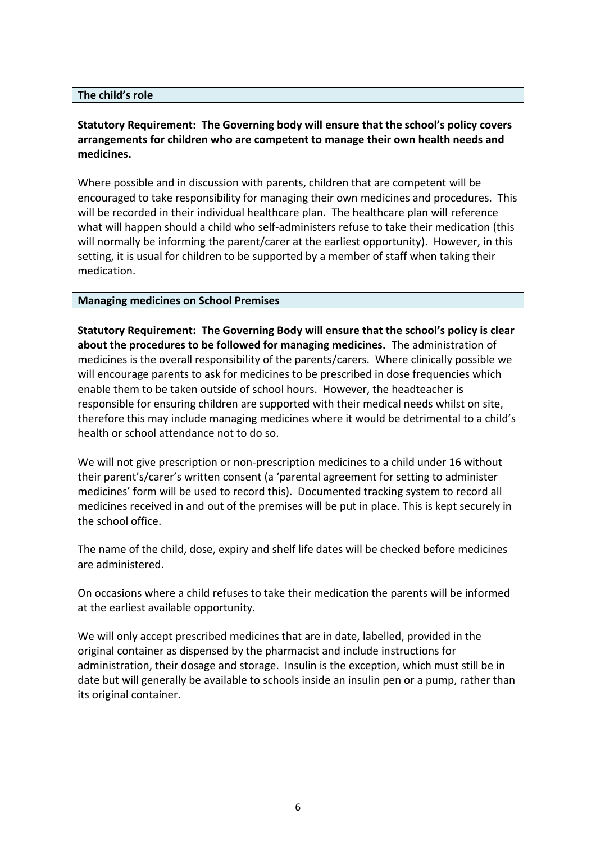### **The child's role**

**Statutory Requirement: The Governing body will ensure that the school's policy covers arrangements for children who are competent to manage their own health needs and medicines.**

Where possible and in discussion with parents, children that are competent will be encouraged to take responsibility for managing their own medicines and procedures. This will be recorded in their individual healthcare plan. The healthcare plan will reference what will happen should a child who self-administers refuse to take their medication (this will normally be informing the parent/carer at the earliest opportunity). However, in this setting, it is usual for children to be supported by a member of staff when taking their medication.

### **Managing medicines on School Premises**

**Statutory Requirement: The Governing Body will ensure that the school's policy is clear about the procedures to be followed for managing medicines.** The administration of medicines is the overall responsibility of the parents/carers. Where clinically possible we will encourage parents to ask for medicines to be prescribed in dose frequencies which enable them to be taken outside of school hours. However, the headteacher is responsible for ensuring children are supported with their medical needs whilst on site, therefore this may include managing medicines where it would be detrimental to a child's health or school attendance not to do so.

We will not give prescription or non-prescription medicines to a child under 16 without their parent's/carer's written consent (a 'parental agreement for setting to administer medicines' form will be used to record this). Documented tracking system to record all medicines received in and out of the premises will be put in place. This is kept securely in the school office.

The name of the child, dose, expiry and shelf life dates will be checked before medicines are administered.

On occasions where a child refuses to take their medication the parents will be informed at the earliest available opportunity.

We will only accept prescribed medicines that are in date, labelled, provided in the original container as dispensed by the pharmacist and include instructions for administration, their dosage and storage. Insulin is the exception, which must still be in date but will generally be available to schools inside an insulin pen or a pump, rather than its original container.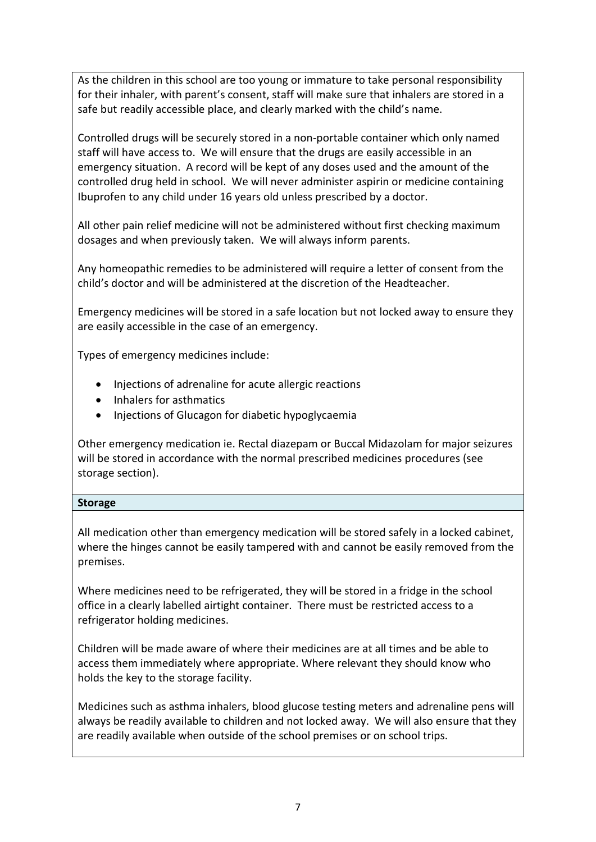As the children in this school are too young or immature to take personal responsibility for their inhaler, with parent's consent, staff will make sure that inhalers are stored in a safe but readily accessible place, and clearly marked with the child's name.

Controlled drugs will be securely stored in a non-portable container which only named staff will have access to. We will ensure that the drugs are easily accessible in an emergency situation. A record will be kept of any doses used and the amount of the controlled drug held in school. We will never administer aspirin or medicine containing Ibuprofen to any child under 16 years old unless prescribed by a doctor.

All other pain relief medicine will not be administered without first checking maximum dosages and when previously taken. We will always inform parents.

Any homeopathic remedies to be administered will require a letter of consent from the child's doctor and will be administered at the discretion of the Headteacher.

Emergency medicines will be stored in a safe location but not locked away to ensure they are easily accessible in the case of an emergency.

Types of emergency medicines include:

- Injections of adrenaline for acute allergic reactions
- Inhalers for asthmatics
- Injections of Glucagon for diabetic hypoglycaemia

Other emergency medication ie. Rectal diazepam or Buccal Midazolam for major seizures will be stored in accordance with the normal prescribed medicines procedures (see storage section).

## **Storage**

All medication other than emergency medication will be stored safely in a locked cabinet, where the hinges cannot be easily tampered with and cannot be easily removed from the premises.

Where medicines need to be refrigerated, they will be stored in a fridge in the school office in a clearly labelled airtight container. There must be restricted access to a refrigerator holding medicines.

Children will be made aware of where their medicines are at all times and be able to access them immediately where appropriate. Where relevant they should know who holds the key to the storage facility.

Medicines such as asthma inhalers, blood glucose testing meters and adrenaline pens will always be readily available to children and not locked away. We will also ensure that they are readily available when outside of the school premises or on school trips.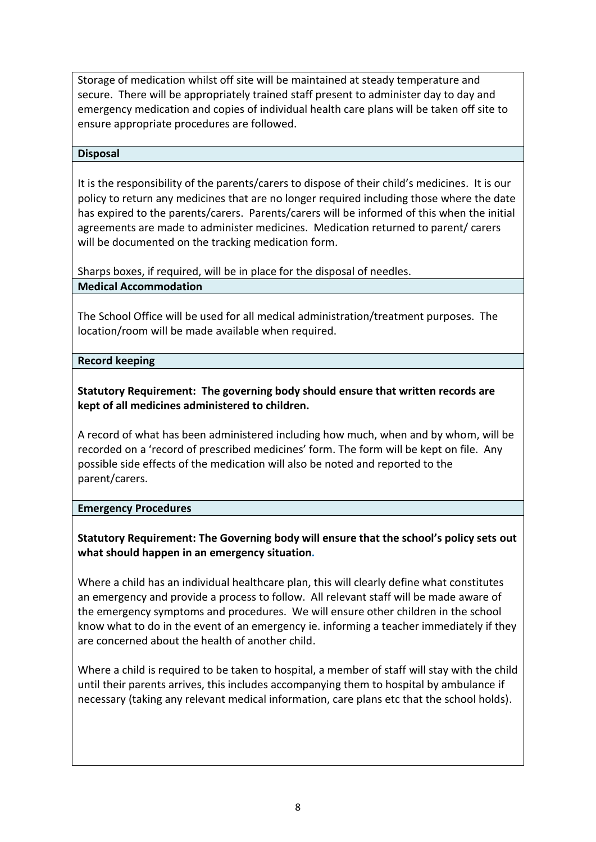Storage of medication whilst off site will be maintained at steady temperature and secure. There will be appropriately trained staff present to administer day to day and emergency medication and copies of individual health care plans will be taken off site to ensure appropriate procedures are followed.

#### **Disposal**

It is the responsibility of the parents/carers to dispose of their child's medicines. It is our policy to return any medicines that are no longer required including those where the date has expired to the parents/carers. Parents/carers will be informed of this when the initial agreements are made to administer medicines. Medication returned to parent/ carers will be documented on the tracking medication form.

Sharps boxes, if required, will be in place for the disposal of needles.

### **Medical Accommodation**

The School Office will be used for all medical administration/treatment purposes. The location/room will be made available when required.

#### **Record keeping**

## **Statutory Requirement: The governing body should ensure that written records are kept of all medicines administered to children.**

A record of what has been administered including how much, when and by whom, will be recorded on a 'record of prescribed medicines' form. The form will be kept on file. Any possible side effects of the medication will also be noted and reported to the parent/carers.

#### **Emergency Procedures**

## **Statutory Requirement: The Governing body will ensure that the school's policy sets out what should happen in an emergency situation***.*

Where a child has an individual healthcare plan, this will clearly define what constitutes an emergency and provide a process to follow. All relevant staff will be made aware of the emergency symptoms and procedures. We will ensure other children in the school know what to do in the event of an emergency ie. informing a teacher immediately if they are concerned about the health of another child.

Where a child is required to be taken to hospital, a member of staff will stay with the child until their parents arrives, this includes accompanying them to hospital by ambulance if necessary (taking any relevant medical information, care plans etc that the school holds).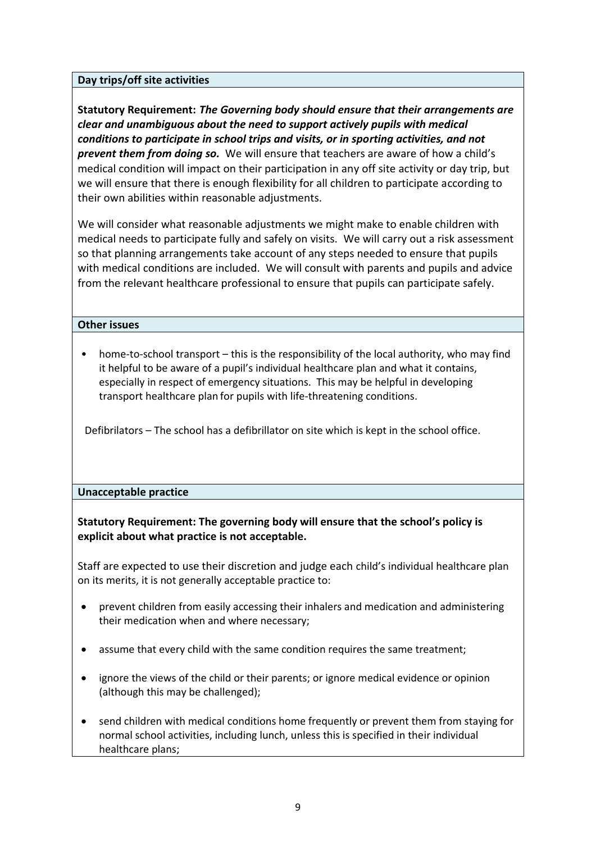### **Day trips/off site activities**

**Statutory Requirement:** *The Governing body should ensure that their arrangements are clear and unambiguous about the need to support actively pupils with medical conditions to participate in school trips and visits, or in sporting activities, and not prevent them from doing so.* We will ensure that teachers are aware of how a child's medical condition will impact on their participation in any off site activity or day trip, but we will ensure that there is enough flexibility for all children to participate according to their own abilities within reasonable adjustments.

We will consider what reasonable adjustments we might make to enable children with medical needs to participate fully and safely on visits. We will carry out a risk assessment so that planning arrangements take account of any steps needed to ensure that pupils with medical conditions are included. We will consult with parents and pupils and advice from the relevant healthcare professional to ensure that pupils can participate safely.

### **Other issues**

• home-to-school transport – this is the responsibility of the local authority, who may find it helpful to be aware of a pupil's individual healthcare plan and what it contains, especially in respect of emergency situations. This may be helpful in developing transport healthcare plan for pupils with life-threatening conditions.

Defibrilators – The school has a defibrillator on site which is kept in the school office.

#### **Unacceptable practice**

**Statutory Requirement: The governing body will ensure that the school's policy is explicit about what practice is not acceptable.**

Staff are expected to use their discretion and judge each child's individual healthcare plan on its merits, it is not generally acceptable practice to:

- prevent children from easily accessing their inhalers and medication and administering their medication when and where necessary;
- assume that every child with the same condition requires the same treatment;
- ignore the views of the child or their parents; or ignore medical evidence or opinion (although this may be challenged);
- send children with medical conditions home frequently or prevent them from staying for normal school activities, including lunch, unless this is specified in their individual healthcare plans;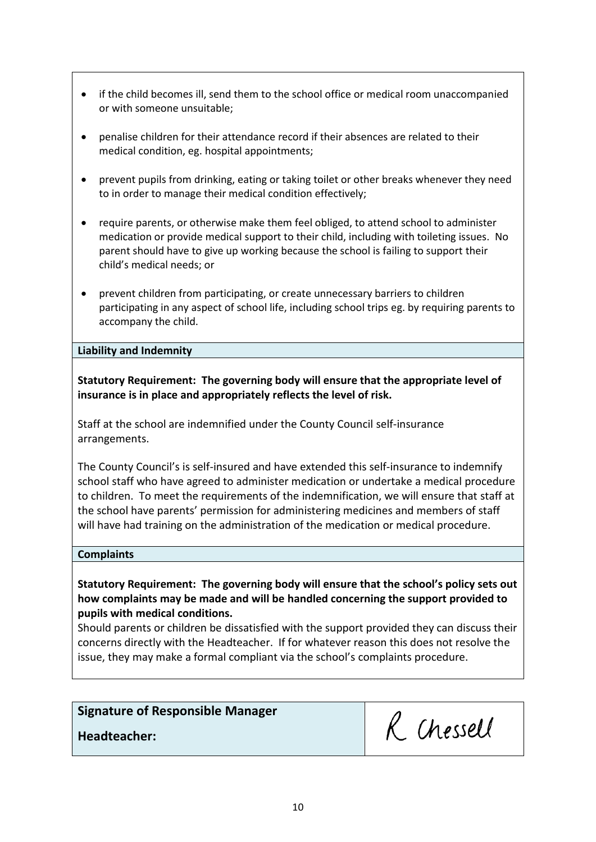- if the child becomes ill, send them to the school office or medical room unaccompanied or with someone unsuitable;
- penalise children for their attendance record if their absences are related to their medical condition, eg. hospital appointments;
- prevent pupils from drinking, eating or taking toilet or other breaks whenever they need to in order to manage their medical condition effectively;
- require parents, or otherwise make them feel obliged, to attend school to administer medication or provide medical support to their child, including with toileting issues. No parent should have to give up working because the school is failing to support their child's medical needs; or
- prevent children from participating, or create unnecessary barriers to children participating in any aspect of school life, including school trips eg. by requiring parents to accompany the child.

**Liability and Indemnity**

**Statutory Requirement: The governing body will ensure that the appropriate level of insurance is in place and appropriately reflects the level of risk.**

Staff at the school are indemnified under the County Council self-insurance arrangements.

The County Council's is self-insured and have extended this self-insurance to indemnify school staff who have agreed to administer medication or undertake a medical procedure to children. To meet the requirements of the indemnification, we will ensure that staff at the school have parents' permission for administering medicines and members of staff will have had training on the administration of the medication or medical procedure.

#### **Complaints**

**Statutory Requirement: The governing body will ensure that the school's policy sets out how complaints may be made and will be handled concerning the support provided to pupils with medical conditions.**

Should parents or children be dissatisfied with the support provided they can discuss their concerns directly with the Headteacher. If for whatever reason this does not resolve the issue, they may make a formal compliant via the school's complaints procedure.

## **Signature of Responsible Manager**

**Headteacher:**

R. Chessell